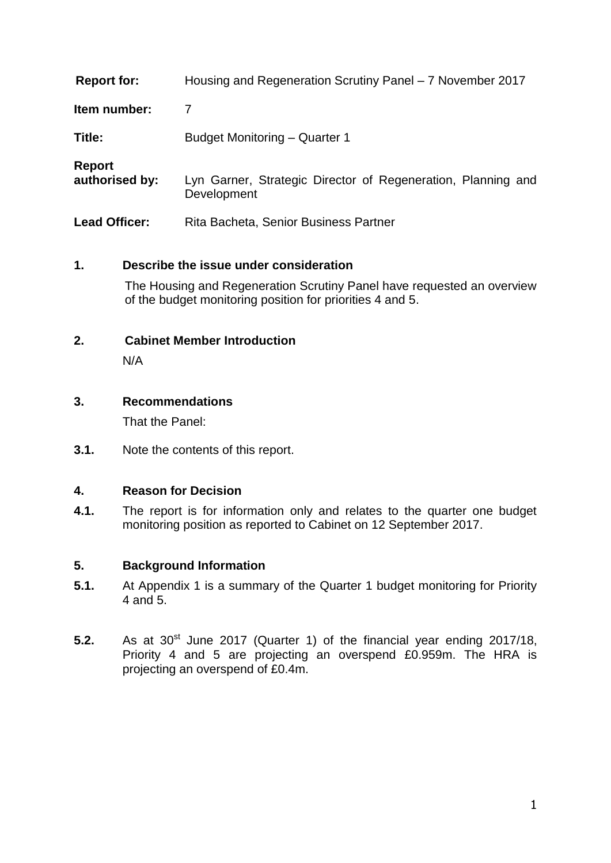| <b>Report for:</b>              | Housing and Regeneration Scrutiny Panel – 7 November 2017                   |
|---------------------------------|-----------------------------------------------------------------------------|
| Item number:                    |                                                                             |
| Title:                          | Budget Monitoring - Quarter 1                                               |
| <b>Report</b><br>authorised by: | Lyn Garner, Strategic Director of Regeneration, Planning and<br>Development |
| <b>Lead Officer:</b>            | Rita Bacheta, Senior Business Partner                                       |

## **1. Describe the issue under consideration**

The Housing and Regeneration Scrutiny Panel have requested an overview of the budget monitoring position for priorities 4 and 5.

## **2. Cabinet Member Introduction**

N/A

## **3. Recommendations**

That the Panel:

**3.1.** Note the contents of this report.

#### **4. Reason for Decision**

**4.1.** The report is for information only and relates to the quarter one budget monitoring position as reported to Cabinet on 12 September 2017.

#### **5. Background Information**

- **5.1.** At Appendix 1 is a summary of the Quarter 1 budget monitoring for Priority 4 and 5.
- **5.2.** As at 30<sup>st</sup> June 2017 (Quarter 1) of the financial year ending 2017/18, Priority 4 and 5 are projecting an overspend £0.959m. The HRA is projecting an overspend of £0.4m.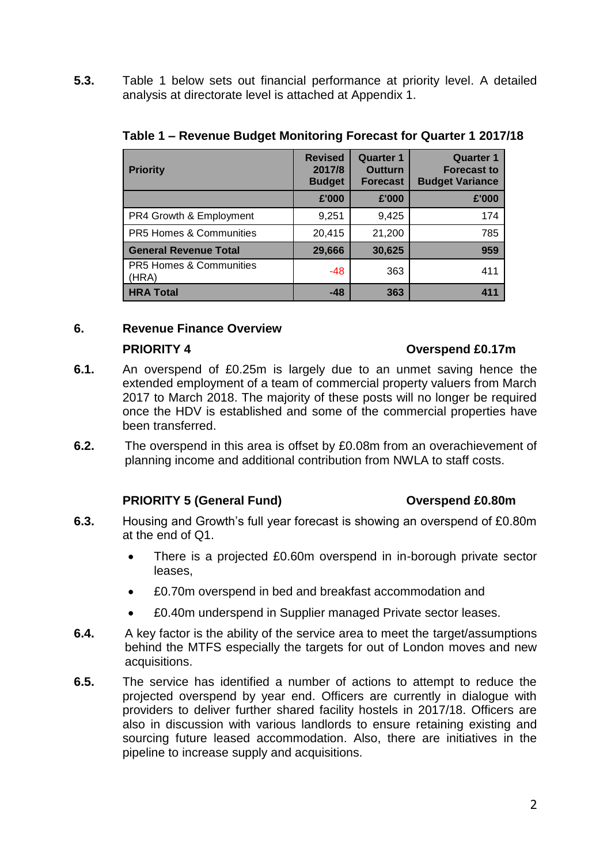**5.3.** Table 1 below sets out financial performance at priority level. A detailed analysis at directorate level is attached at Appendix 1.

| <b>Priority</b>                             | <b>Revised</b><br>2017/8<br><b>Budget</b> | <b>Quarter 1</b><br><b>Outturn</b><br><b>Forecast</b> | <b>Quarter 1</b><br><b>Forecast to</b><br><b>Budget Variance</b> |
|---------------------------------------------|-------------------------------------------|-------------------------------------------------------|------------------------------------------------------------------|
|                                             | £'000                                     | £'000                                                 | £'000                                                            |
| PR4 Growth & Employment                     | 9,251                                     | 9,425                                                 | 174                                                              |
| PR5 Homes & Communities                     | 20,415                                    | 21,200                                                | 785                                                              |
| <b>General Revenue Total</b>                | 29,666                                    | 30,625                                                | 959                                                              |
| <b>PR5 Homes &amp; Communities</b><br>(HRA) | -48                                       | 363                                                   | 411                                                              |
| <b>HRA Total</b>                            | $-48$                                     | 363                                                   |                                                                  |

#### **Table 1 – Revenue Budget Monitoring Forecast for Quarter 1 2017/18**

#### **6. Revenue Finance Overview**

#### **PRIORITY 4 Overspend £0.17m**

- **6.1.** An overspend of £0.25m is largely due to an unmet saving hence the extended employment of a team of commercial property valuers from March 2017 to March 2018. The majority of these posts will no longer be required once the HDV is established and some of the commercial properties have been transferred.
- **6.2.** The overspend in this area is offset by £0.08m from an overachievement of planning income and additional contribution from NWLA to staff costs.

# **PRIORITY 5 (General Fund) Overspend £0.80m**

- **6.3.** Housing and Growth's full year forecast is showing an overspend of £0.80m at the end of Q1.
	- There is a projected £0.60m overspend in in-borough private sector leases,
	- £0.70m overspend in bed and breakfast accommodation and
	- £0.40m underspend in Supplier managed Private sector leases.
- **6.4.** A key factor is the ability of the service area to meet the target/assumptions behind the MTFS especially the targets for out of London moves and new acquisitions.
- **6.5.** The service has identified a number of actions to attempt to reduce the projected overspend by year end. Officers are currently in dialogue with providers to deliver further shared facility hostels in 2017/18. Officers are also in discussion with various landlords to ensure retaining existing and sourcing future leased accommodation. Also, there are initiatives in the pipeline to increase supply and acquisitions.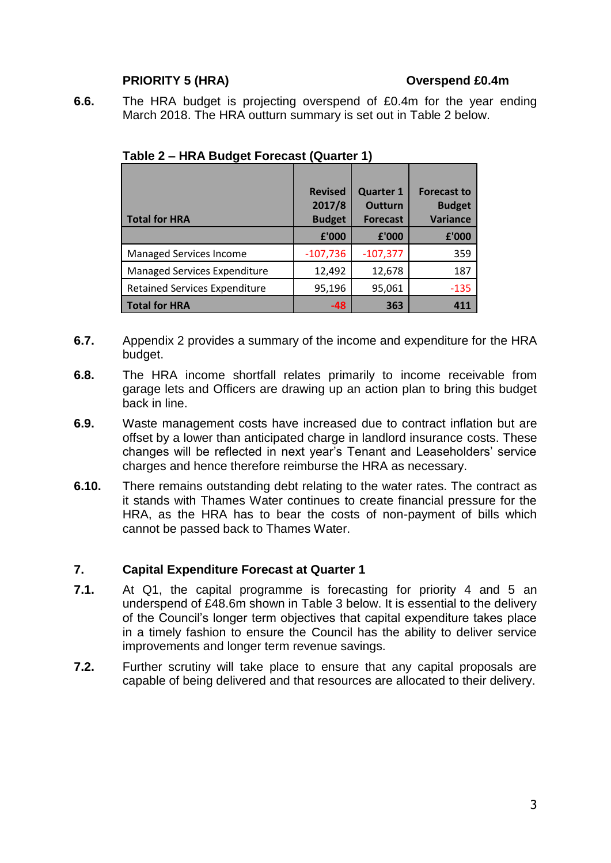## **PRIORITY 5 (HRA) Overspend £0.4m**

**6.6.** The HRA budget is projecting overspend of £0.4m for the year ending March 2018. The HRA outturn summary is set out in Table 2 below.

|                                      | <b>Revised</b><br>2017/8 | <b>Quarter 1</b><br><b>Outturn</b> | <b>Forecast to</b><br><b>Budget</b> |
|--------------------------------------|--------------------------|------------------------------------|-------------------------------------|
| <b>Total for HRA</b>                 | <b>Budget</b>            | <b>Forecast</b>                    | <b>Variance</b>                     |
|                                      | £'000                    | £'000                              | £'000                               |
| <b>Managed Services Income</b>       | $-107,736$               | $-107,377$                         | 359                                 |
| <b>Managed Services Expenditure</b>  | 12,492                   | 12,678                             | 187                                 |
| <b>Retained Services Expenditure</b> | 95,196                   | 95,061                             | $-135$                              |
| <b>Total for HRA</b>                 | $-48$                    | 363                                | 411                                 |

**Table 2 – HRA Budget Forecast (Quarter 1)**

- **6.7.** Appendix 2 provides a summary of the income and expenditure for the HRA budget.
- **6.8.** The HRA income shortfall relates primarily to income receivable from garage lets and Officers are drawing up an action plan to bring this budget back in line.
- **6.9.** Waste management costs have increased due to contract inflation but are offset by a lower than anticipated charge in landlord insurance costs. These changes will be reflected in next year's Tenant and Leaseholders' service charges and hence therefore reimburse the HRA as necessary.
- **6.10.** There remains outstanding debt relating to the water rates. The contract as it stands with Thames Water continues to create financial pressure for the HRA, as the HRA has to bear the costs of non-payment of bills which cannot be passed back to Thames Water.

#### **7. Capital Expenditure Forecast at Quarter 1**

- **7.1.** At Q1, the capital programme is forecasting for priority 4 and 5 an underspend of £48.6m shown in Table 3 below. It is essential to the delivery of the Council's longer term objectives that capital expenditure takes place in a timely fashion to ensure the Council has the ability to deliver service improvements and longer term revenue savings.
- **7.2.** Further scrutiny will take place to ensure that any capital proposals are capable of being delivered and that resources are allocated to their delivery.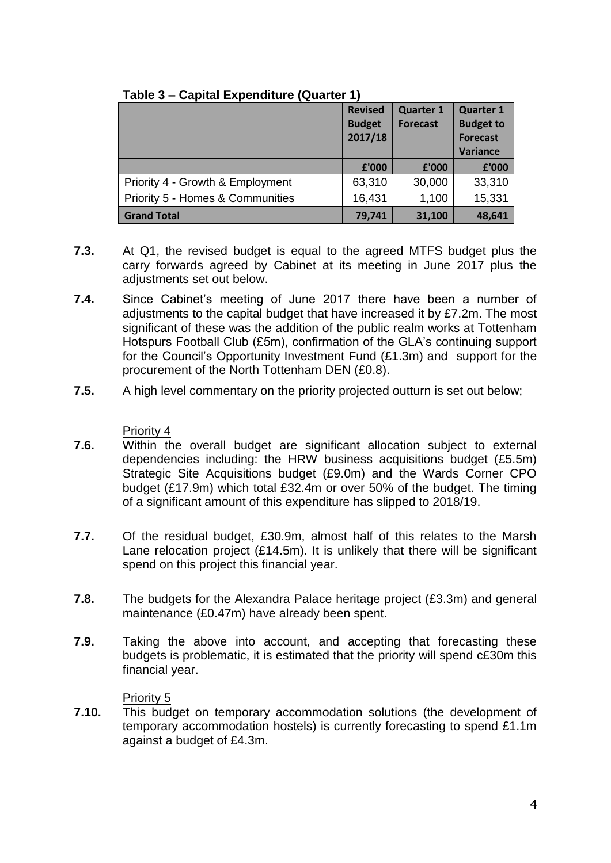|                                  | <b>Revised</b><br><b>Budget</b><br>2017/18 | <b>Quarter 1</b><br><b>Forecast</b> | <b>Quarter 1</b><br><b>Budget to</b><br><b>Forecast</b><br>Variance |
|----------------------------------|--------------------------------------------|-------------------------------------|---------------------------------------------------------------------|
|                                  | £'000                                      | £'000                               | £'000                                                               |
| Priority 4 - Growth & Employment | 63,310                                     | 30,000                              | 33,310                                                              |
| Priority 5 - Homes & Communities | 16,431                                     | 1,100                               | 15,331                                                              |
| <b>Grand Total</b>               | 79,741                                     | 31,100                              | 48,641                                                              |

## **Table 3 – Capital Expenditure (Quarter 1)**

- **7.3.** At Q1, the revised budget is equal to the agreed MTFS budget plus the carry forwards agreed by Cabinet at its meeting in June 2017 plus the adiustments set out below.
- **7.4.** Since Cabinet's meeting of June 2017 there have been a number of adjustments to the capital budget that have increased it by £7.2m. The most significant of these was the addition of the public realm works at Tottenham Hotspurs Football Club (£5m), confirmation of the GLA's continuing support for the Council's Opportunity Investment Fund (£1.3m) and support for the procurement of the North Tottenham DEN (£0.8).
- **7.5.** A high level commentary on the priority projected outturn is set out below;

# Priority 4

- **7.6.** Within the overall budget are significant allocation subject to external dependencies including: the HRW business acquisitions budget (£5.5m) Strategic Site Acquisitions budget (£9.0m) and the Wards Corner CPO budget (£17.9m) which total £32.4m or over 50% of the budget. The timing of a significant amount of this expenditure has slipped to 2018/19.
- **7.7.** Of the residual budget, £30.9m, almost half of this relates to the Marsh Lane relocation project (£14.5m). It is unlikely that there will be significant spend on this project this financial year.
- **7.8.** The budgets for the Alexandra Palace heritage project (£3.3m) and general maintenance (£0.47m) have already been spent.
- **7.9.** Taking the above into account, and accepting that forecasting these budgets is problematic, it is estimated that the priority will spend c£30m this financial year.

# Priority 5

**7.10.** This budget on temporary accommodation solutions (the development of temporary accommodation hostels) is currently forecasting to spend £1.1m against a budget of £4.3m.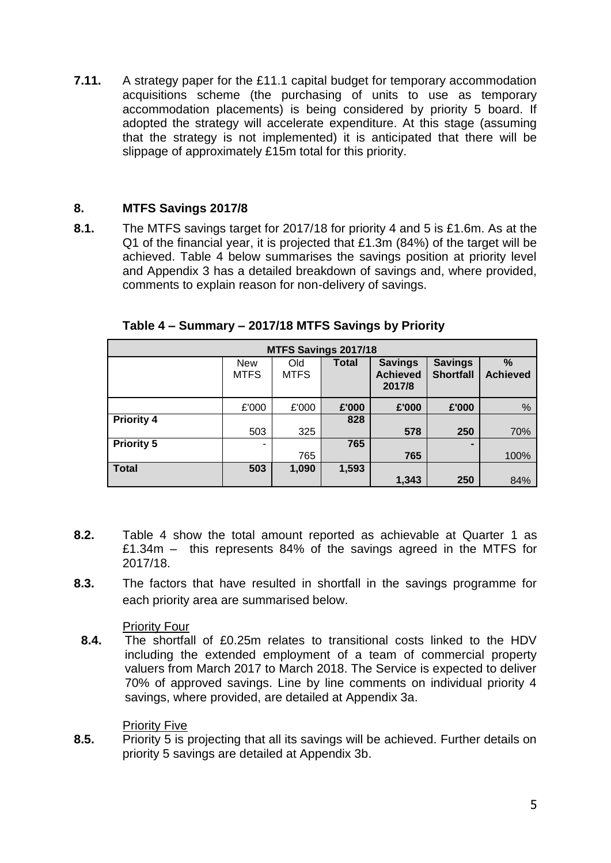**7.11.** A strategy paper for the £11.1 capital budget for temporary accommodation acquisitions scheme (the purchasing of units to use as temporary accommodation placements) is being considered by priority 5 board. If adopted the strategy will accelerate expenditure. At this stage (assuming that the strategy is not implemented) it is anticipated that there will be slippage of approximately £15m total for this priority.

# **8. MTFS Savings 2017/8**

**8.1.** The MTFS savings target for 2017/18 for priority 4 and 5 is £1.6m. As at the Q1 of the financial year, it is projected that £1.3m (84%) of the target will be achieved. Table 4 below summarises the savings position at priority level and Appendix 3 has a detailed breakdown of savings and, where provided, comments to explain reason for non-delivery of savings.

| MTFS Savings 2017/18 |                           |                    |              |                                             |                                    |                      |  |  |  |  |
|----------------------|---------------------------|--------------------|--------------|---------------------------------------------|------------------------------------|----------------------|--|--|--|--|
|                      | <b>New</b><br><b>MTFS</b> | Old<br><b>MTFS</b> | <b>Total</b> | <b>Savings</b><br><b>Achieved</b><br>2017/8 | <b>Savings</b><br><b>Shortfall</b> | %<br><b>Achieved</b> |  |  |  |  |
|                      | £'000                     | £'000              | £'000        | £'000                                       | £'000                              | %                    |  |  |  |  |
| <b>Priority 4</b>    |                           |                    | 828          |                                             |                                    |                      |  |  |  |  |
|                      | 503                       | 325                |              | 578                                         | 250                                | 70%                  |  |  |  |  |
| <b>Priority 5</b>    | ۰                         |                    | 765          |                                             |                                    |                      |  |  |  |  |
|                      |                           | 765                |              | 765                                         |                                    | 100%                 |  |  |  |  |
| <b>Total</b>         | 503                       | 1,090              | 1,593        |                                             |                                    |                      |  |  |  |  |
|                      |                           |                    |              | 1,343                                       | 250                                | 84%                  |  |  |  |  |

**Table 4 – Summary – 2017/18 MTFS Savings by Priority**

- **8.2.** Table 4 show the total amount reported as achievable at Quarter 1 as £1.34m – this represents 84% of the savings agreed in the MTFS for 2017/18.
- **8.3.** The factors that have resulted in shortfall in the savings programme for each priority area are summarised below.

# Priority Four

**8.4.** The shortfall of £0.25m relates to transitional costs linked to the HDV including the extended employment of a team of commercial property valuers from March 2017 to March 2018. The Service is expected to deliver 70% of approved savings. Line by line comments on individual priority 4 savings, where provided, are detailed at Appendix 3a.

Priority Five

**8.5.** Priority 5 is projecting that all its savings will be achieved. Further details on priority 5 savings are detailed at Appendix 3b.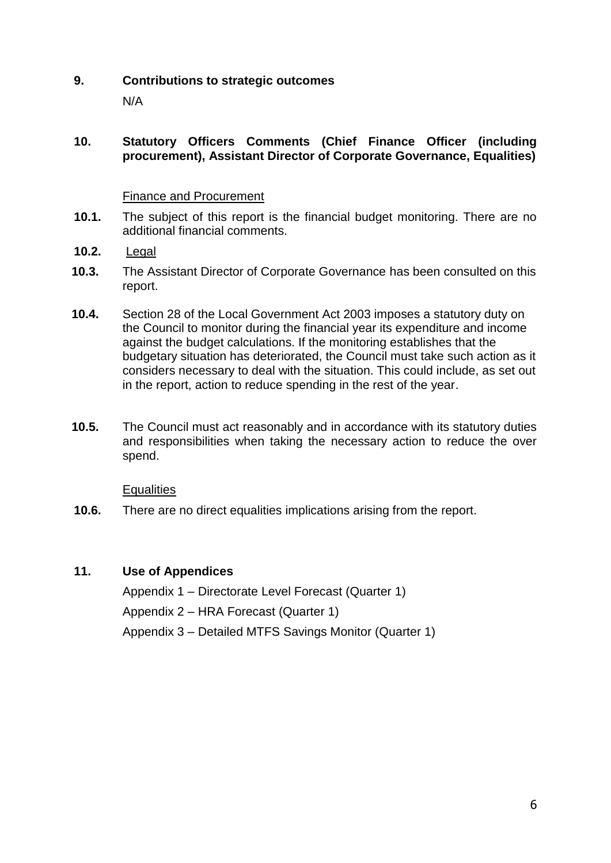## **9. Contributions to strategic outcomes**

N/A

#### **10. Statutory Officers Comments (Chief Finance Officer (including procurement), Assistant Director of Corporate Governance, Equalities)**

#### Finance and Procurement

- **10.1.** The subject of this report is the financial budget monitoring. There are no additional financial comments.
- **10.2.** Legal
- **10.3.** The Assistant Director of Corporate Governance has been consulted on this report.
- **10.4.** Section 28 of the Local Government Act 2003 imposes a statutory duty on the Council to monitor during the financial year its expenditure and income against the budget calculations. If the monitoring establishes that the budgetary situation has deteriorated, the Council must take such action as it considers necessary to deal with the situation. This could include, as set out in the report, action to reduce spending in the rest of the year.
- **10.5.** The Council must act reasonably and in accordance with its statutory duties and responsibilities when taking the necessary action to reduce the over spend.

**Equalities** 

**10.6.** There are no direct equalities implications arising from the report.

# **11. Use of Appendices**

Appendix 1 – Directorate Level Forecast (Quarter 1)

Appendix 2 – HRA Forecast (Quarter 1)

Appendix 3 – Detailed MTFS Savings Monitor (Quarter 1)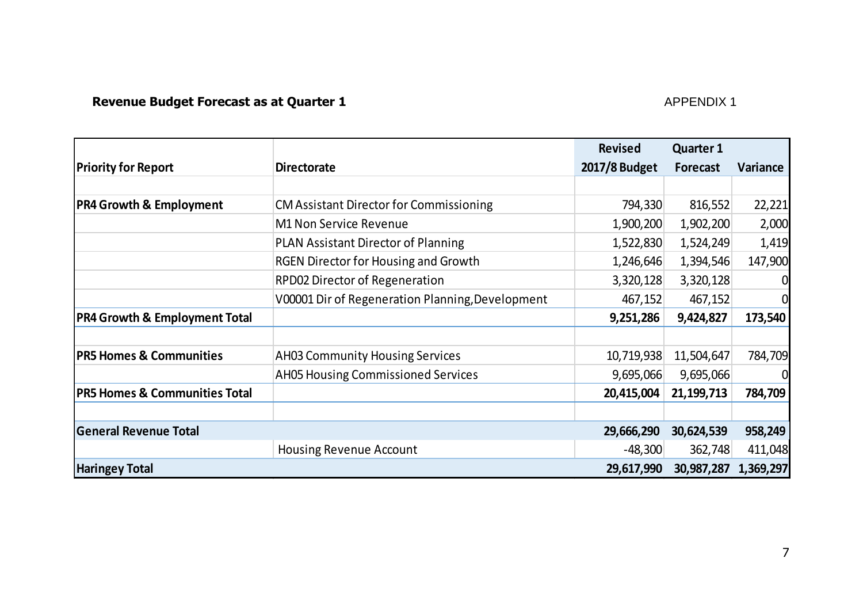# **Revenue Budget Forecast as at Quarter 1** APPENDIX 1

|                                          |                                                  | <b>Revised</b> | <b>Quarter 1</b> |                |
|------------------------------------------|--------------------------------------------------|----------------|------------------|----------------|
| <b>Priority for Report</b>               | <b>Directorate</b>                               | 2017/8 Budget  | Forecast         | Variance       |
|                                          |                                                  |                |                  |                |
| <b>PR4 Growth &amp; Employment</b>       | <b>CM Assistant Director for Commissioning</b>   | 794,330        | 816,552          | 22,221         |
|                                          | <b>M1 Non Service Revenue</b>                    | 1,900,200      | 1,902,200        | 2,000          |
|                                          | <b>PLAN Assistant Director of Planning</b>       | 1,522,830      | 1,524,249        | 1,419          |
|                                          | <b>RGEN Director for Housing and Growth</b>      | 1,246,646      | 1,394,546        | 147,900        |
|                                          | <b>RPD02 Director of Regeneration</b>            | 3,320,128      | 3,320,128        | $\overline{0}$ |
|                                          | V00001 Dir of Regeneration Planning, Development | 467,152        | 467,152          | $\overline{0}$ |
| <b>PR4 Growth &amp; Employment Total</b> |                                                  | 9,251,286      | 9,424,827        | 173,540        |
|                                          |                                                  |                |                  |                |
| <b>PR5 Homes &amp; Communities</b>       | <b>AH03 Community Housing Services</b>           | 10,719,938     | 11,504,647       | 784,709        |
|                                          | <b>AH05 Housing Commissioned Services</b>        | 9,695,066      | 9,695,066        | $\overline{0}$ |
| <b>PR5 Homes &amp; Communities Total</b> |                                                  | 20,415,004     | 21,199,713       | 784,709        |
|                                          |                                                  |                |                  |                |
| <b>General Revenue Total</b>             |                                                  | 29,666,290     | 30,624,539       | 958,249        |
|                                          | <b>Housing Revenue Account</b>                   | $-48,300$      | 362,748          | 411,048        |
| <b>Haringey Total</b>                    |                                                  | 29,617,990     | 30,987,287       | 1,369,297      |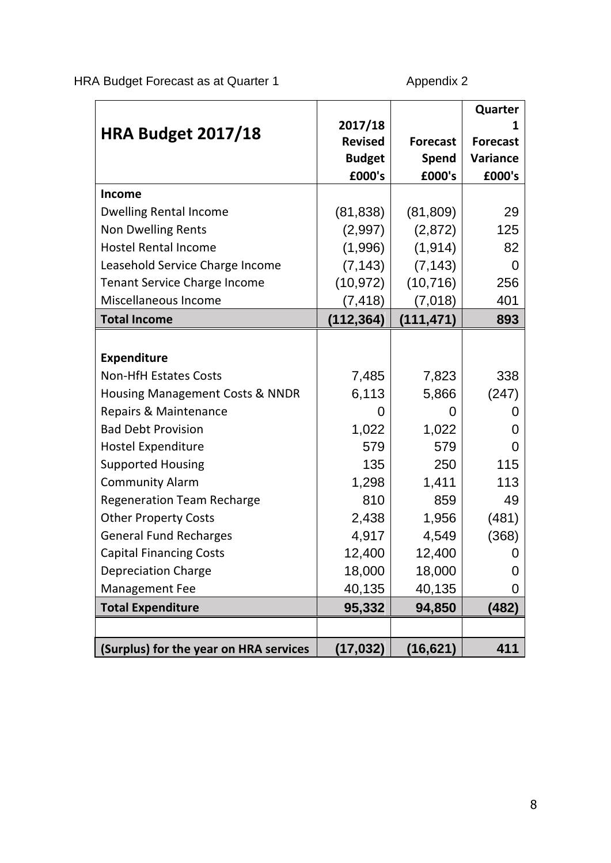HRA Budget Forecast as at Quarter 1 Appendix 2

|                                        |                |                 | Quarter         |
|----------------------------------------|----------------|-----------------|-----------------|
| <b>HRA Budget 2017/18</b>              | 2017/18        |                 |                 |
|                                        | <b>Revised</b> | <b>Forecast</b> | <b>Forecast</b> |
|                                        | <b>Budget</b>  | <b>Spend</b>    | Variance        |
|                                        | £000's         | £000's          | £000's          |
| <b>Income</b>                          |                |                 |                 |
| <b>Dwelling Rental Income</b>          | (81, 838)      | (81, 809)       | 29              |
| <b>Non Dwelling Rents</b>              | (2,997)        | (2,872)         | 125             |
| <b>Hostel Rental Income</b>            | (1,996)        | (1, 914)        | 82              |
| Leasehold Service Charge Income        | (7, 143)       | (7, 143)        | $\overline{0}$  |
| <b>Tenant Service Charge Income</b>    | (10, 972)      | (10, 716)       | 256             |
| Miscellaneous Income                   | (7, 418)       | (7,018)         | 401             |
| <b>Total Income</b>                    | (112, 364)     | (111, 471)      | 893             |
|                                        |                |                 |                 |
| <b>Expenditure</b>                     |                |                 |                 |
| <b>Non-HfH Estates Costs</b>           | 7,485          | 7,823           | 338             |
| Housing Management Costs & NNDR        | 6,113          | 5,866           | (247)           |
| Repairs & Maintenance                  | 0              | 0               | 0               |
| <b>Bad Debt Provision</b>              | 1,022          | 1,022           | 0               |
| <b>Hostel Expenditure</b>              | 579            | 579             | 0               |
| <b>Supported Housing</b>               | 135            | 250             | 115             |
| <b>Community Alarm</b>                 | 1,298          | 1,411           | 113             |
| <b>Regeneration Team Recharge</b>      | 810            | 859             | 49              |
| <b>Other Property Costs</b>            | 2,438          | 1,956           | (481)           |
| <b>General Fund Recharges</b>          | 4,917          | 4,549           | (368)           |
| <b>Capital Financing Costs</b>         | 12,400         | 12,400          | 0               |
| <b>Depreciation Charge</b>             | 18,000         | 18,000          | 0               |
| Management Fee                         | 40,135         | 40,135          | 0               |
| <b>Total Expenditure</b>               | 95,332         | 94,850          | (482)           |
|                                        |                |                 |                 |
| (Surplus) for the year on HRA services | (17, 032)      | (16, 621)       | 411             |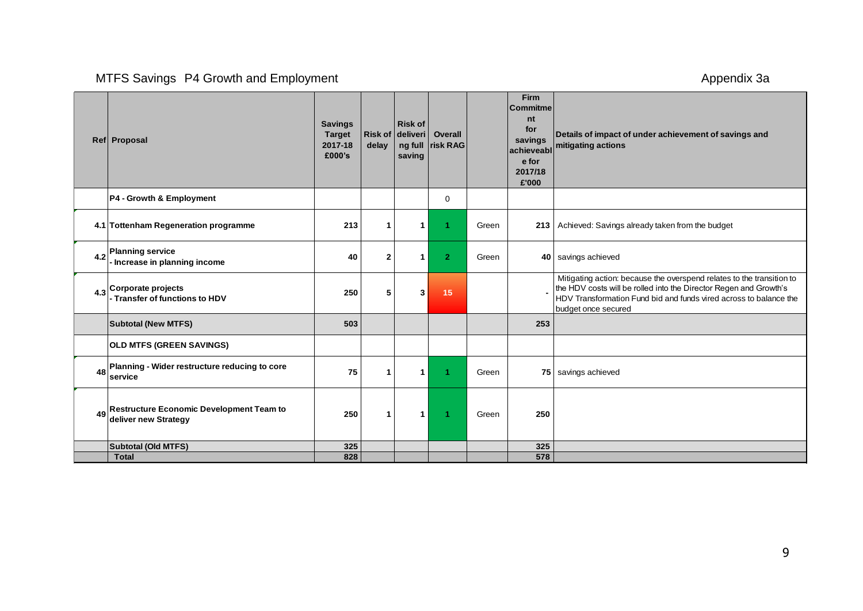# MTFS Savings P4 Growth and Employment Appendix 3a and Contact Contact Appendix 3a

|     | Ref Proposal                                                            | <b>Savings</b><br><b>Target</b><br>2017-18<br>£000's | delay        | <b>Risk of</b><br>Risk of deliveri<br>saving | Overall<br>ng full risk RAG |       | <b>Firm</b><br><b>Commitme</b><br>nt<br>for<br>savings<br>achieveabl<br>e for<br>2017/18<br>£'000 | Details of impact of under achievement of savings and<br>mitigating actions                                                                                                                                                            |
|-----|-------------------------------------------------------------------------|------------------------------------------------------|--------------|----------------------------------------------|-----------------------------|-------|---------------------------------------------------------------------------------------------------|----------------------------------------------------------------------------------------------------------------------------------------------------------------------------------------------------------------------------------------|
|     | P4 - Growth & Employment                                                |                                                      |              |                                              | 0                           |       |                                                                                                   |                                                                                                                                                                                                                                        |
|     | 4.1 Tottenham Regeneration programme                                    | 213                                                  | 1            | 1                                            | 1                           | Green |                                                                                                   | 213   Achieved: Savings already taken from the budget                                                                                                                                                                                  |
| 4.2 | <b>Planning service</b><br>Increase in planning income                  | 40                                                   | $\mathbf{2}$ | 1                                            | $\overline{2}$              | Green |                                                                                                   | 40   savings achieved                                                                                                                                                                                                                  |
| 4.3 | Corporate projects<br>- Transfer of functions to HDV                    | 250                                                  | 5            | 3                                            | 15                          |       |                                                                                                   | Mitigating action: because the overspend relates to the transition to<br>the HDV costs will be rolled into the Director Regen and Growth's<br>HDV Transformation Fund bid and funds vired across to balance the<br>budget once secured |
|     | <b>Subtotal (New MTFS)</b>                                              | 503                                                  |              |                                              |                             |       | 253                                                                                               |                                                                                                                                                                                                                                        |
|     | <b>OLD MTFS (GREEN SAVINGS)</b>                                         |                                                      |              |                                              |                             |       |                                                                                                   |                                                                                                                                                                                                                                        |
| 48  | Planning - Wider restructure reducing to core<br>service                | 75                                                   | 1            | 1                                            |                             | Green |                                                                                                   | 75   savings achieved                                                                                                                                                                                                                  |
| 49  | <b>Restructure Economic Development Team to</b><br>deliver new Strategy | 250                                                  | $\mathbf{1}$ | $\mathbf{1}$                                 |                             | Green | 250                                                                                               |                                                                                                                                                                                                                                        |
|     | Subtotal (Old MTFS)                                                     | 325                                                  |              |                                              |                             |       | 325                                                                                               |                                                                                                                                                                                                                                        |
|     | <b>Total</b>                                                            | 828                                                  |              |                                              |                             |       | 578                                                                                               |                                                                                                                                                                                                                                        |